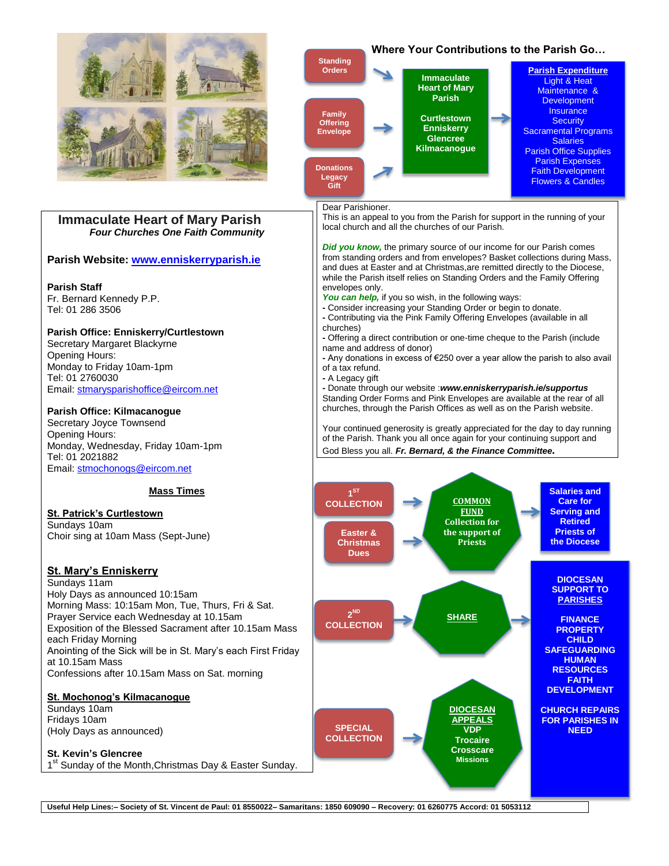

**Useful Help Lines:– Society of St. Vincent de Paul: 01 8550022– Samaritans: 1850 609090 – Recovery: 01 6260775 Accord: 01 5053112**